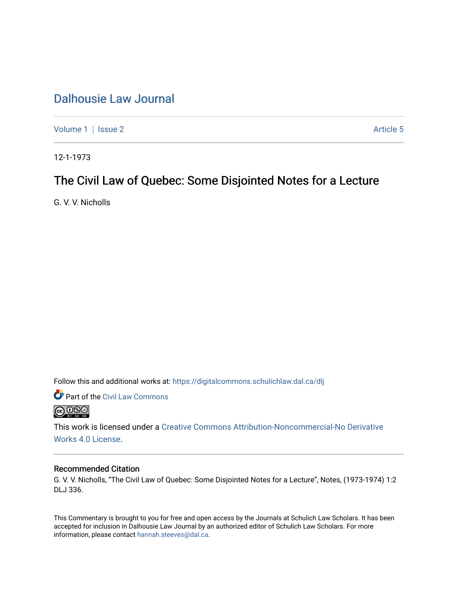## [Dalhousie Law Journal](https://digitalcommons.schulichlaw.dal.ca/dlj)

[Volume 1](https://digitalcommons.schulichlaw.dal.ca/dlj/vol1) | [Issue 2](https://digitalcommons.schulichlaw.dal.ca/dlj/vol1/iss2) Article 5

12-1-1973

## The Civil Law of Quebec: Some Disjointed Notes for a Lecture

G. V. V. Nicholls

Follow this and additional works at: [https://digitalcommons.schulichlaw.dal.ca/dlj](https://digitalcommons.schulichlaw.dal.ca/dlj?utm_source=digitalcommons.schulichlaw.dal.ca%2Fdlj%2Fvol1%2Fiss2%2F5&utm_medium=PDF&utm_campaign=PDFCoverPages) 



This work is licensed under a [Creative Commons Attribution-Noncommercial-No Derivative](https://creativecommons.org/licenses/by-nc-nd/4.0/)  [Works 4.0 License](https://creativecommons.org/licenses/by-nc-nd/4.0/).

## Recommended Citation

G. V. V. Nicholls, "The Civil Law of Quebec: Some Disjointed Notes for a Lecture", Notes, (1973-1974) 1:2 DLJ 336.

This Commentary is brought to you for free and open access by the Journals at Schulich Law Scholars. It has been accepted for inclusion in Dalhousie Law Journal by an authorized editor of Schulich Law Scholars. For more information, please contact [hannah.steeves@dal.ca](mailto:hannah.steeves@dal.ca).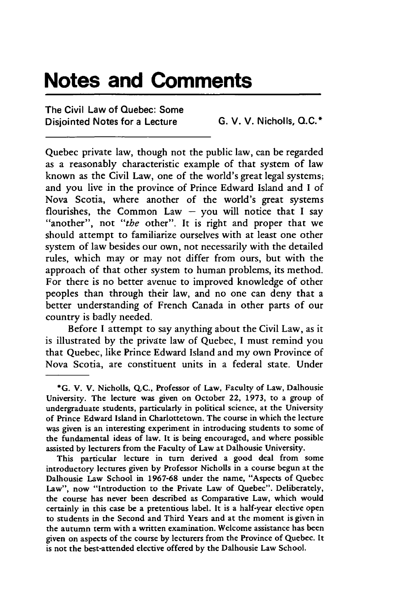## **Notes and Comments**

The Civil Law of Quebec: Some Disjointed Notes for a Lecture **G.** V. V. Nicholls, **Q.C.\***

Quebec private law, though not the public law, can be regarded as a reasonably characteristic example of that system of law known as the Civil Law, one of the world's great legal systems; and you live in the province of Prince Edward Island and I of Nova Scotia, where another of the world's great systems flourishes, the Common Law - you will notice that I say "another", not *"the* other". It is right and proper that we should attempt to familiarize ourselves with at least one other system of law besides our own, not necessarily with the detailed rules, which may or may not differ from ours, but with the approach of that other system to human problems, its method. For there is no better avenue to improved knowledge of other peoples than through their law, and no one can deny that a better understanding of French Canada in other parts of our country is badly needed.

Before I attempt to say anything about the Civil Law, as it is illustrated by the private law of Quebec, I must remind you that Quebec, like Prince Edward Island and my own Province of Nova Scotia, are constituent units in a federal state. Under

**<sup>\*</sup>G. V.** V. Nicholls, **Q.C.,** Professor of Law, Faculty of Law, Dalhousie University. The lecture was given on October 22, **1973,** to a group of undergraduate students, particularly in political science, at the University of Prince Edward Island in Charlottetown. The course in which the lecture was given is an interesting experiment in introducing students to some of the fundamental ideas of law. It is being encouraged, and where possible assisted **by** lecturers from the Faculty of Law at Dalhousie University.

This particular lecture in turn derived a good deal from some introductory lectures given **by** Professor Nicholls in a course begun at the Dalhousie Law School in **1967-68** under the name, "Aspects of Quebec Law", now "Introduction to the Private Law of Quebec". Deliberately, the course has never been described as Comparative Law, which would certainly in this case be a pretentious label. It is a half-year elective open to students in the Second and Third Years and at the moment is given in the autumn term with a written examination. Welcome assistance has been given on aspects of the course **by** lecturers from the Province of Quebec. It is not the best-attended elective offered **by** the Dalhousie Law School.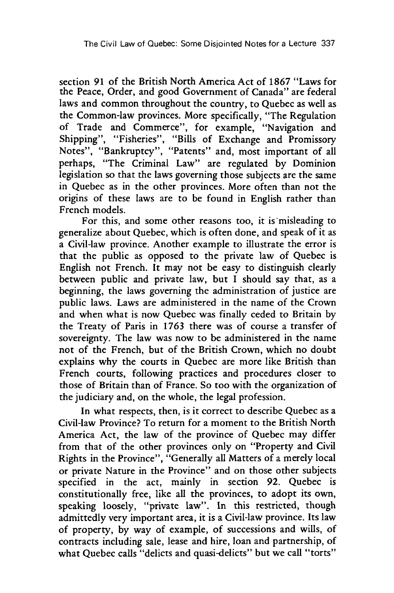section **91** of the British North America Act of 1867 "Laws for the Peace, Order, and good Government of Canada" are federal laws and common throughout the country, to Quebec as well as the Common-law provinces. More specifically, "The Regulation of Trade and Commerce", for example, "Navigation and Shipping", "Fisheries", "Bills of Exchange and Promissory Notes", "Bankruptcy", "Patents" and, most important of all perhaps, "The Criminal Law" are regulated by Dominion legislation so that the laws governing those subjects are the same in Quebec as in the other provinces. More often than not the origins of these laws are to be found in English rather than French models.

For this, and some other reasons too, it is misleading to generalize about Quebec, which is often done, and speak of it as a Civil-law province. Another example to illustrate the error is that the public as opposed to the private law of Quebec is English not French. It may not be easy to distinguish clearly between public and private law, but I should say that, as a beginning, the laws governing the administration of justice are public laws. Laws are administered in the name of the Crown and when what is now Quebec was finally ceded to Britain by the Treaty of Paris in 1763 there was of course a transfer of sovereignty. The law was now to be administered in the name not of the French, but of the British Crown, which no doubt explains why the courts in Quebec are more like British than French courts, following practices and procedures closer to those of Britain than of France. So too with the organization of the judiciary and, on the whole, the legal profession.

In what respects, then, is it correct to describe Quebec as a Civil-law Province? To return for a moment to the British North America Act, the law of the province of Quebec may differ from that of the other provinces only on "Property and Civil Rights in the Province", "Generally all Matters of a merely local or private Nature in the Province" and on those other subjects specified in the act, mainly in section 92. Quebec is constitutionally free, like all the provinces, to adopt its own, speaking loosely, "private law". In this restricted, though admittedly very important area, it is a Civil-law province. Its law of property, by way of example, of successions and wills, of contracts including sale, lease and hire, loan and partnership, of what Quebec calls "delicts and quasi-delicts" but we call "torts"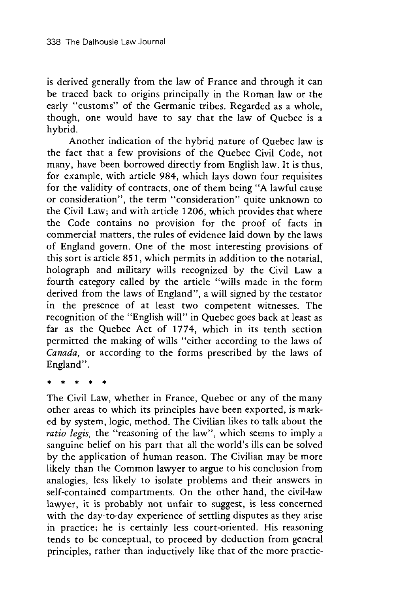is derived generally from the law of France and through it can be traced back to origins principally in the Roman law or the early "customs" of the Germanic tribes. Regarded as a whole, though, one would have to say that the law of Quebec is a hybrid.

Another indication of the hybrid nature of Quebec law is the fact that a few provisions of the Quebec Civil Code, not many, have been borrowed directly from English law. It is thus, for example, with article 984, which lays down four requisites for the validity of contracts, one of them being "A lawful cause or consideration", the term "consideration" quite unknown to the Civil Law; and with article 1206, which provides that where the Code contains no provision for the proof of facts in commercial matters, the rules of evidence laid down by the laws of England govern. One of the most interesting provisions of this sort is article 851, which permits in addition to the notarial, holograph and military wills recognized by the Civil Law a fourth category called by the article "wills made in the form derived from the laws of England", a will signed by the testator in the presence of at least two competent witnesses. The recognition of the "English will" in Quebec goes back at least as far as the Quebec Act of 1774, which in its tenth section permitted the making of wills "either according to the laws of *Canada,* or according to the forms prescribed by the laws of England".

The Civil Law, whether in France, Quebec or any of the many other areas to which its principles have been exported, is marked by system, logic, method. The Civilian likes to talk about the *ratio legis,* the "reasoning of the law", which seems to imply a sanguine belief on his part that all the world's ills can be solved by the application of human reason. The Civilian may be more likely than the Common lawyer to argue to his conclusion from analogies, less likely to isolate problems and their answers in self-contained compartments. On the other hand, the civil-law lawyer, it is probably not unfair to suggest, is less concerned with the day-to-day experience of settling disputes as they arise in practice; he is certainly less court-oriented. His reasoning tends to be conceptual, to proceed by deduction from general principles, rather than inductively like that of the more practic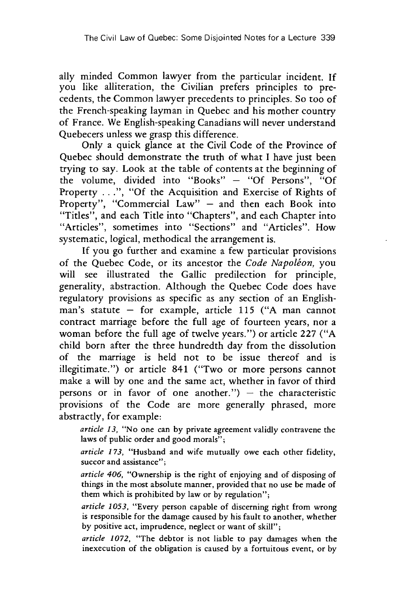ally minded Common lawyer from the particular incident. If you like alliteration, the Civilian prefers principles to precedents, the Common lawyer precedents to principles. So too of the French-speaking layman in Quebec and his mother country of France. We English-speaking Canadians will never understand Quebecers unless we grasp this difference.

Only a quick glance at the Civil Code of the Province of Quebec should demonstrate the truth of what I have just been trying to say. Look at the table of contents at the beginning of the volume, divided into "Books" - "Of Persons", "Of Property ...", "Of the Acquisition and Exercise of Rights of Property", "Commercial Law" - and then each Book into "Titles", and each Title into "Chapters", and each Chapter into "Articles", sometimes into "Sections" and "Articles". How systematic, logical, methodical the arrangement is.

If you go further and examine a few particular provisions of the Quebec Code, or its ancestor the *Code Napoleon,* you will see illustrated the Gallic predilection for principle, generality, abstraction. Although the Quebec Code does have regulatory provisions as specific as any section of an Englishman's statute  $-$  for example, article 115 ("A man cannot contract marriage before the full age of fourteen years, nor a woman before the full age of twelve years.") or article 227 ("A child born after the three hundredth day from the dissolution of the marriage is held not to be issue thereof and is illegitimate.") or article 841 ("Two or more persons cannot make a will by one and the same act, whether in favor of third persons or in favor of one another.")  $-$  the characteristic provisions of the Code are more generally phrased, more abstractly, for example:

*article 13,* "No one can by private agreement validly contravene the laws of public order and good morals";

*article* 173, "Husband and wife mutually owe each other fidelity, succor and assistance";

*article 406,* "Ownership is the right of enjoying and of disposing of things in the most absolute manner, provided that no use be made of them which is prohibited by law or by regulation";

*article 1053,* "Every person capable of discerning right from wrong is responsible for the damage caused by his fault to another, whether by positive act, imprudence, neglect or want of skill";

*article 1072,* "The debtor is not liable to pay damages when the inexecution of the obligation is caused by a fortuitous event, or by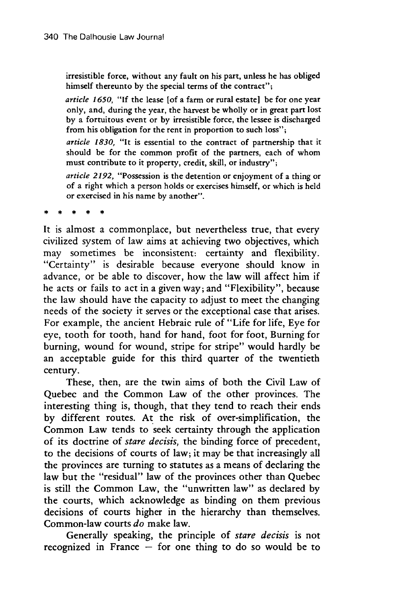irresistible force, without any fault on his part, unless he has obliged himself thereunto by the special terms of the contract";

*article* 1650, "If the lease [of a farm or rural estate] be for one year only, and, during the year, the harvest be wholly or in great part lost by a fortuitous event or by irresistible force, the lessee is discharged from his obligation for the rent in proportion to such loss";

*article 1830,* "It is essential to the contract of partnership that it should be for the common profit of the partners, each of whom must contribute to it property, credit, skill, or industry";

*article 2192,* "Possession is the detention or enjoyment of a thing or of a right which a person holds or exercises himself, or which is held or exercised in his name by another".

It is almost a commonplace, but nevertheless true, that every civilized system of law aims at achieving two objectives, which may sometimes be inconsistent: certainty and flexibility. "Certainty" is desirable because everyone should know in advance, or be able to discover, how the law will affect him if he acts or fails to act in a given way; and "Flexibility", because the law should have the capacity to adjust to meet the changing needs of the society it serves or the exceptional case that arises. For example, the ancient Hebraic rule of "Life for life, Eye for eye, tooth for tooth, hand for hand, foot for foot, Burning for burning, wound for wound, stripe for stripe" would hardly be an acceptable guide for this third quarter of the twentieth century.

These, then, are the twin aims of both the Civil Law of Quebec and the Common Law of the other provinces. The interesting thing is, though, that they tend to reach their ends by different routes. At the risk of over-simplification, the Common Law tends to seek certainty through the application of its doctrine of *stare decisis,* the binding force of precedent, to the decisions of courts of law; it may be that increasingly all the provinces are turning to statutes as a means of declaring the law but the "residual" law of the provinces other than Quebec is still the Common Law, the "unwritten law" as declared by the courts, which acknowledge as binding on them previous decisions of courts higher in the hierarchy than themselves. Common-law courts *do* make law.

Generally speaking, the principle of *stare decisis* is not recognized in France  $-$  for one thing to do so would be to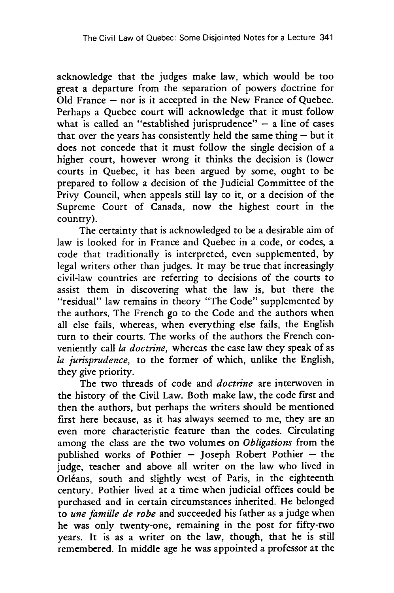acknowledge that the judges make law, which would be too great a departure from the separation of powers doctrine for Old France  $-$  nor is it accepted in the New France of Quebec. Perhaps a Quebec court will acknowledge that it must follow what is called an "established jurisprudence"  $-$  a line of cases that over the years has consistently held the same thing  $-$  but it does not concede that it must follow the single decision of a higher court, however wrong it thinks the decision is (lower courts in Quebec, it has been argued by some, ought to be prepared to follow a decision of the Judicial Committee of the Privy Council, when appeals still lay to it, or a decision of the Supreme Court of Canada, now the highest court in the country).

The certainty that is acknowledged to be a desirable aim of law is looked for in France and Quebec in a code, or codes, a code that traditionally is interpreted, even supplemented, by legal writers other than judges. It may be true that increasingly civil-law countries are referring to decisions of the courts to assist them in discovering what the law is, but there the "residual" law remains in theory "The Code" supplemented by the authors. The French go to the Code and the authors when all else fails, whereas, when everything else fails, the English turn to their courts. The works of the authors the French conveniently call *la doctrine,* whereas the case law they speak of as *la jurisprudence,* to the former of which, unlike the English, they give priority.

The two threads of code and *doctrine* are interwoven in the history of the Civil Law. Both make law, the code first and then the authors, but perhaps the writers should be mentioned first here because, as it has always seemed to me, they are an even more characteristic feature than the codes. Circulating among the class are the two volumes on *Obligations* from the published works of Pothier - Joseph Robert Pothier - the judge, teacher and above all writer on the law who lived in Orléans, south and slightly west of Paris, in the eighteenth century. Pothier lived at a time when judicial offices could be purchased and in certain circumstances inherited. He belonged to *une famille de robe* and succeeded his father as a judge when he was only twenty-one, remaining in the post for fifty-two years. It is as a writer on the law, though, that he is still remembered. In middle age he was appointed a professor at the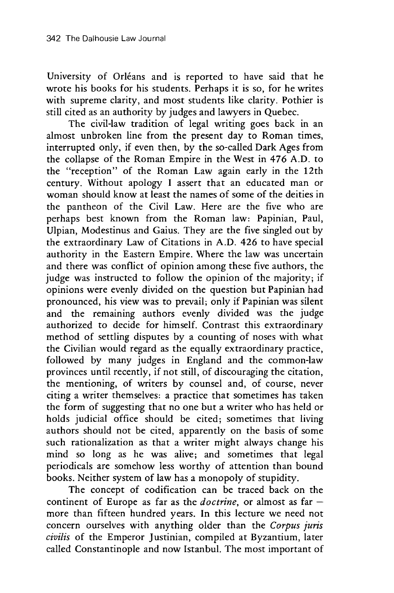University of Orléans and is reported to have said that he wrote his books for his students. Perhaps it is so, for he writes with supreme clarity, and most students like clarity. Pothier is still cited as an authority by judges and lawyers in Quebec.

The civil-law tradition of legal writing goes back in an almost unbroken line from the present day to Roman times, interrupted only, if even then, by the so-called Dark Ages from the collapse of the Roman Empire in the West in 476 A.D. to the "reception" of the Roman Law again early in the 12th century. Without apology I assert that an educated man or woman should know at least the names of some of the deities in the pantheon of the Civil Law. Here are the five who are perhaps best known from the Roman law: Papinian, Paul, Ulpian, Modestinus and Gaius. They are the five singled out by the extraordinary Law of Citations in A.D. 426 to have special authority in the Eastern Empire. Where the law was uncertain and there was conflict of opinion among these five authors, the judge was instructed to follow the opinion of the majority; if opinions were evenly divided on the question but Papinian had pronounced, his view was to prevail; only if Papinian was silent and the remaining authors evenly divided was the judge authorized to decide for himself. Contrast this extraordinary method of settling disputes by a counting of noses with what the Civilian would regard as the equally extraordinary practice, followed by many judges in England and the common-law provinces until recently, if not still, of discouraging the citation, the mentioning, of writers by counsel and, of course, never citing a writer themselves: a practice that sometimes has taken the form of suggesting that no one but a writer who has held or holds judicial office should be cited; sometimes that living authors should not be cited, apparently on the basis of some such rationalization as that a writer might always change his mind so long as he was alive; and sometimes that legal periodicals are somehow less worthy of attention than bound books. Neither system of law has a monopoly of stupidity.

The concept of codification can be traced back on the continent of Europe as far as the *doctrine*, or almost as far more than fifteen hundred years. In this lecture we need not concern ourselves with anything older than the *Corpus juris civilis* of the Emperor Justinian, compiled at Byzantium, later called Constantinople and now Istanbul. The most important of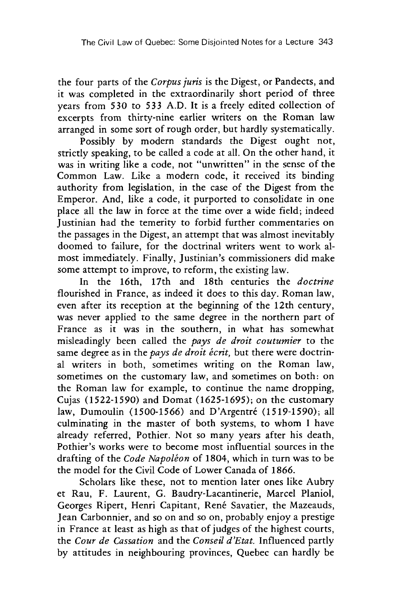the four parts of the *Corpus juris* is the Digest, or Pandects, and it was completed in the extraordinarily short period of three years from 530 to 533 A.D. It is a freely edited collection of excerpts from thirty-nine earlier writers on the Roman law arranged in some sort of rough order, but hardly systematically.

Possibly by modern standards the Digest ought not, strictly speaking, to be called a code at all. On the other hand, it was in writing like a code, not "unwritten" in the sense of the Common Law. Like a modern code, it received its binding authority from legislation, in the case of the Digest from the Emperor. And, like a code, it purported to consolidate in one place all the law in force at the time over a wide field; indeed Justinian had the temerity to forbid further commentaries on the passages in the Digest, an attempt that was almost inevitably doomed to failure, for the doctrinal writers went to work almost immediately. Finally, Justinian's commissioners did make some attempt to improve, to reform, the existing law.

In the 16th, 17th and 18th centuries the *doctrine* flourished in France, as indeed it does to this day. Roman law, even after its reception at the beginning of the 12th century, was never applied to the same degree in the northern part of France as it was in the southern, in what has somewhat misleadingly been called the *pays de droit coutumier* to the same degree as in the *pays de droit écrit*, but there were doctrinal writers in both, sometimes writing on the Roman law, sometimes on the customary law, and sometimes on both: on the Roman law for example, to continue the name dropping, Cujas (1522-1590) and Domat (1625-1695); on the customary law, Dumoulin (1500-1566) and D'Argentré (1519-1590); all culminating in the master of both systems, to whom I have already referred, Pothier. Not so many years after his death, Pothier's works were to become most influential sources in the drafting of the *Code Napoléon* of 1804, which in turn was to be the model for the Civil Code of Lower Canada of 1866.

Scholars like these, not to mention later ones like Aubry et Rau, F. Laurent, G. Baudry-Lacantinerie, Marcel Planiol, Georges Ripert, Henri Capitant, René Savatier, the Mazeauds, Jean Carbonnier, and so on and so on, probably enjoy a prestige in France at least as high as that of judges of the highest courts, the *Cour de Cassation* and the *Conseil d'Etat.* Influenced partly by attitudes in neighbouring provinces, Quebec can hardly be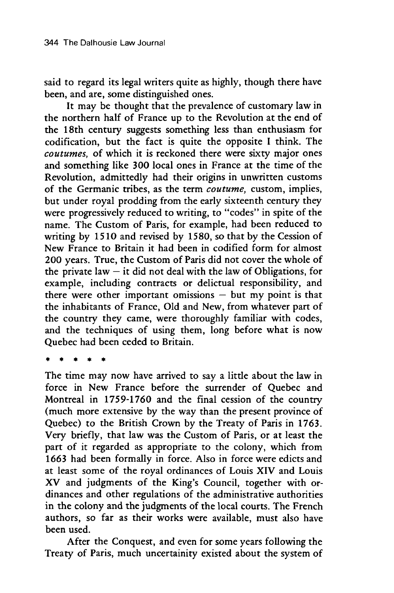said to regard its legal writers quite as highly, though there have been, and are, some distinguished ones.

It may be thought that the prevalence of customary law in the northern half of France up to the Revolution at the end of the 18th century suggests something less than enthusiasm for codification, but the fact is quite the opposite I think. The *coutumes,* of which it is reckoned there were sixty major ones and something like 300 local ones in France at the time of the Revolution, admittedly had their origins in unwritten customs of the Germanic tribes, as the term *coutume,* custom, implies, but under royal prodding from the early sixteenth century they were progressively reduced to writing, to "codes" in spite of the name. The Custom of Paris, for example, had been reduced to writing by 1510 and revised by 1580, so that by the Cession of New France to Britain it had been in codified form for almost 200 years. True, the Custom of Paris did not cover the whole of the private law  $-$  it did not deal with the law of Obligations, for example, including contracts or delictual responsibility, and there were other important omissions  $-$  but my point is that the inhabitants of France, Old and New, from whatever part of the country they came, were thoroughly familiar with codes, and the techniques of using them, long before what is now Quebec had been ceded to Britain.

The time may now have arrived to say a little about the law in force in New France before the surrender of Quebec and Montreal in 1759-1760 and the final cession of the country (much more extensive by the way than the present province of Quebec) to the British Crown by the Treaty of Paris in 1763. Very briefly, that law was the Custom of Paris, or at least the part of it regarded as appropriate to the colony, which from 1663 had been formally in force. Also in force were edicts and at least some of the royal ordinances of Louis XIV and Louis XV and judgments of the King's Council, together with ordinances and other regulations of the administrative authorities in the colony and the judgments of the local courts. The French authors, so far as their works were available, must also have been used.

After the Conquest, and even for some years following the Treaty of Paris, much uncertainity existed about the system of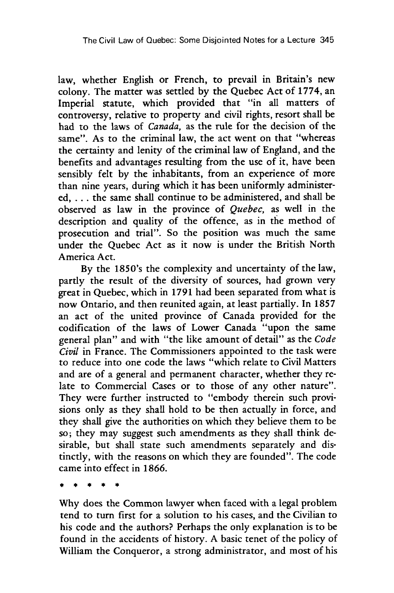law, whether English or French, to prevail in Britain's new colony. The matter was settled by the Quebec Act of 1774, an Imperial statute, which provided that "in all matters of controversy, relative to property and civil rights, resort shall be had to the laws of *Canada,* as the rule for the decision of the same". As to the criminal law, the act went on that "whereas the certainty and lenity of the criminal law of England, and the benefits and advantages resulting from the use of it, have been sensibly felt by the inhabitants, from an experience of more than nine years, during which it has been uniformly administered, . **.** . the same shall continue to be administered, and shall be observed as law in the province of *Quebec,* as well in the description and quality of the offence, as in the method of prosecution and trial". So the position was much the same under the Quebec Act as it now is under the British North America Act.

By the 1850's the complexity and uncertainty of the law, partly the result of the diversity of sources, had grown very great in Quebec, which in 1791 had been separated from what is now Ontario, and then reunited again, at least partially. In 1857 an act of the united province of Canada provided for the codification of the laws of Lower Canada "upon the same general plan" and with "the like amount of detail" as the *Code Civil* in France. The Commissioners appointed to the task were to reduce into one code the laws "which relate to Civil Matters and are of a general and permanent character, whether they relate to Commercial Cases or to those of any other nature". They were further instructed to "embody therein such provisions only as they shall hold to be then actually in force, and they shall give the authorities on which they believe them to be so; they may suggest such amendments as they shall think desirable, but shall state such amendments separately and distinctly, with the reasons on which they are founded". The code came into effect in 1866.

Why does the Common lawyer when faced with a legal problem tend to turn first for a solution to his cases, and the Civilian to his code and the authors? Perhaps the only explanation is to be found in the accidents of history. A basic tenet of the policy of William the Conqueror, a strong administrator, and most of his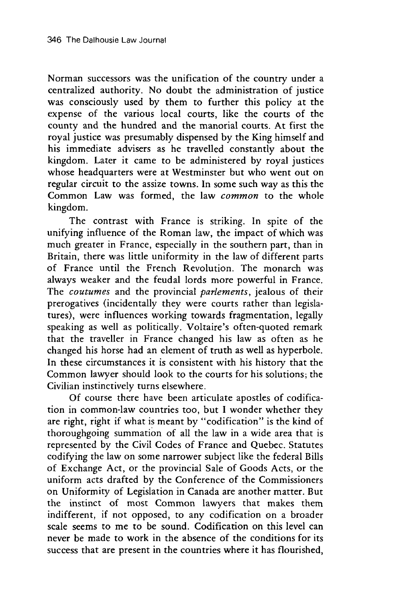Norman successors was the unification of the country under a centralized authority. No doubt the administration of justice was consciously used by them to further this policy at the expense of the various local courts, like the courts of the county and the hundred and the manorial courts. At first the royal justice was presumably dispensed by the King himself and his immediate advisers as he travelled constantly about the kingdom. Later it came to be administered by royal justices whose headquarters were at Westminster but who went out on regular circuit to the assize towns. In some such way as this the Common Law was formed, the law *common* to the whole kingdom.

The contrast with France is striking. In spite of the unifying influence of the Roman law, the impact of which was much greater in France, especially in the southern part, than in Britain, there was little uniformity in the law of different parts of France until the French Revolution. The monarch was always weaker and the feudal lords more powerful in France. The *coutumes* and the provincial *parlements,* jealous of their prerogatives (incidentally they were courts rather than legislatures), were influences working towards fragmentation, legally speaking as well as politically. Voltaire's often-quoted remark that the traveller in France changed his law as often as he changed his horse had an element of truth as well as hyperbole. In these circumstances it is consistent with his history that the Common lawyer should look to the courts for his solutions; the Civilian instinctively turns elsewhere.

Of course there have been articulate apostles of codification in common-law countries too, but I wonder whether they are right, right if what is meant by "codification" is the kind of thoroughgoing summation of all the law in a wide area that is represented by the Civil Codes of France and Quebec. Statutes codifying the law on some narrower subject like the federal Bills of Exchange Act, or the provincial Sale of Goods Acts, or the uniform acts drafted by the Conference of the Commissioners on Uniformity of Legislation in Canada are another matter. But the instinct of most Common lawyers that makes them indifferent, if not opposed, to any codification on a broader scale seems to me to be sound. Codification on this level can never be made to work in the absence of the conditions for its success that are present in the countries where it has flourished,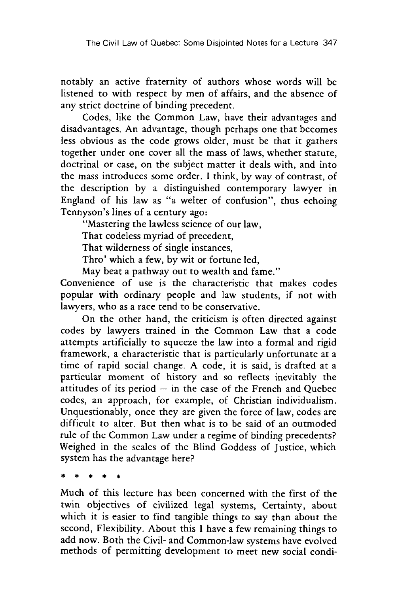notably an active fraternity of authors whose words will be listened to with respect by men of affairs, and the absence of any strict doctrine of binding precedent.

Codes, like the Common Law, have their advantages and disadvantages. An advantage, though perhaps one that becomes less obvious as the code grows older, must be that it gathers together under one cover all the mass of laws, whether statute, doctrinal or case, on the subject matter it deals with, and into the mass introduces some order. I think, by way of contrast, of the description by a distinguished contemporary lawyer in England of his law as "a welter of confusion", thus echoing Tennyson's lines of a century ago:

"Mastering the lawless science of our law,

That codeless myriad of precedent,

That wilderness of single instances,

Thro' which a few, by wit or fortune led,

May beat a pathway out to wealth and fame."

Convenience of use is the characteristic that makes codes popular with ordinary people and law students, if not with lawyers, who as a race tend to be conservative.

On the other hand, the criticism is often directed against codes by lawyers trained in the Common Law that a code attempts artificially to squeeze the law into a formal and rigid framework, a characteristic that is particularly unfortunate at a time of rapid social change. A code, it is said, is drafted at a particular moment of history and so reflects inevitably the attitudes of its period **-** in the case of the French and Quebec codes, an approach, for example, of Christian individualism. Unquestionably, once they are given the force of law, codes are difficult to alter. But then what is to be said of an outmoded rule of the Common Law under a regime of binding precedents? Weighed in the scales of the Blind Goddess of Justice, which system has the advantage here?

Much of this lecture has been concerned with the first of the twin objectives of civilized legal systems, Certainty, about which it is easier to find tangible things to say than about the second, Flexibility. About this I have a few remaining things to add now. Both the Civil- and Common-law systems have evolved methods of permitting development to meet new social condi-